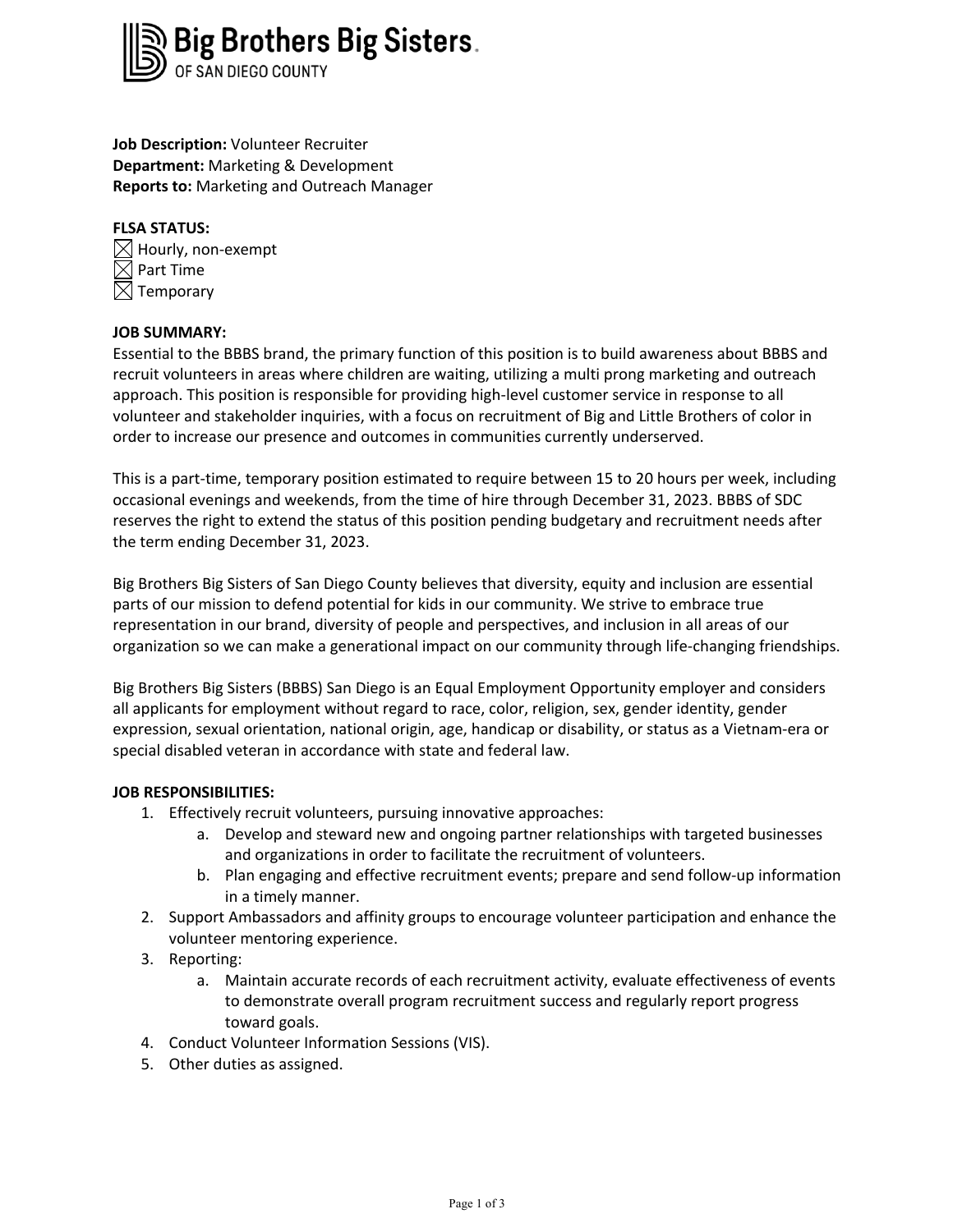

**Job Description:** Volunteer Recruiter **Department:** Marketing & Development **Reports to:** Marketing and Outreach Manager

# **FLSA STATUS:**

 $\boxtimes$  Hourly, non-exempt  $\boxtimes$  Part Time  $\boxtimes$  Temporary

# **JOB SUMMARY:**

Essential to the BBBS brand, the primary function of this position is to build awareness about BBBS and recruit volunteers in areas where children are waiting, utilizing a multi prong marketing and outreach approach. This position is responsible for providing high-level customer service in response to all volunteer and stakeholder inquiries, with a focus on recruitment of Big and Little Brothers of color in order to increase our presence and outcomes in communities currently underserved.

This is a part-time, temporary position estimated to require between 15 to 20 hours per week, including occasional evenings and weekends, from the time of hire through December 31, 2023. BBBS of SDC reserves the right to extend the status of this position pending budgetary and recruitment needs after the term ending December 31, 2023.

Big Brothers Big Sisters of San Diego County believes that diversity, equity and inclusion are essential parts of our mission to defend potential for kids in our community. We strive to embrace true representation in our brand, diversity of people and perspectives, and inclusion in all areas of our organization so we can make a generational impact on our community through life-changing friendships.

Big Brothers Big Sisters (BBBS) San Diego is an Equal Employment Opportunity employer and considers all applicants for employment without regard to race, color, religion, sex, gender identity, gender expression, sexual orientation, national origin, age, handicap or disability, or status as a Vietnam-era or special disabled veteran in accordance with state and federal law.

# **JOB RESPONSIBILITIES:**

- 1. Effectively recruit volunteers, pursuing innovative approaches:
	- a. Develop and steward new and ongoing partner relationships with targeted businesses and organizations in order to facilitate the recruitment of volunteers.
	- b. Plan engaging and effective recruitment events; prepare and send follow-up information in a timely manner.
- 2. Support Ambassadors and affinity groups to encourage volunteer participation and enhance the volunteer mentoring experience.
- 3. Reporting:
	- a. Maintain accurate records of each recruitment activity, evaluate effectiveness of events to demonstrate overall program recruitment success and regularly report progress toward goals.
- 4. Conduct Volunteer Information Sessions (VIS).
- 5. Other duties as assigned.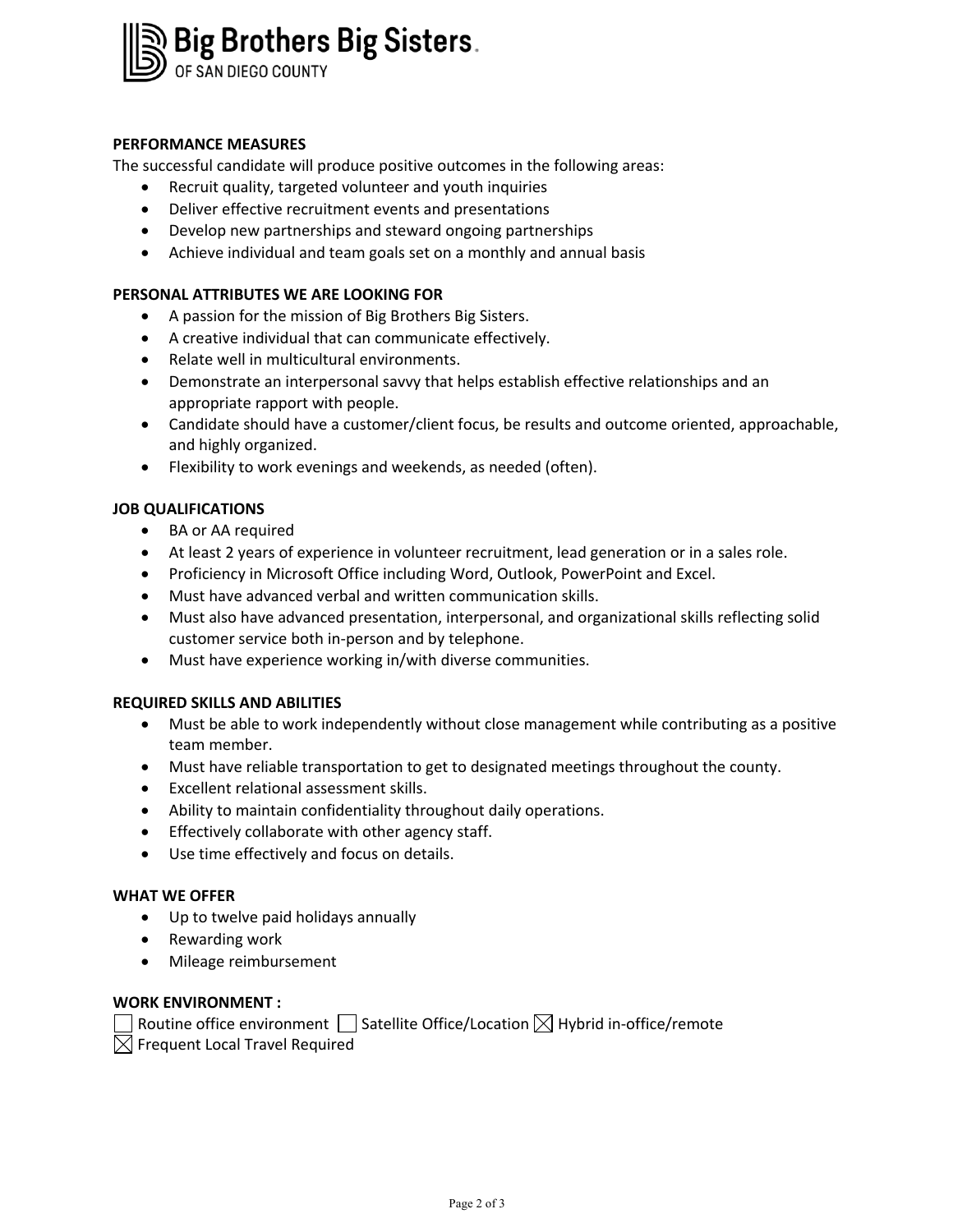# Big Brothers Big Sisters.

## **PERFORMANCE MEASURES**

The successful candidate will produce positive outcomes in the following areas:

- Recruit quality, targeted volunteer and youth inquiries
- Deliver effective recruitment events and presentations
- Develop new partnerships and steward ongoing partnerships
- Achieve individual and team goals set on a monthly and annual basis

#### **PERSONAL ATTRIBUTES WE ARE LOOKING FOR**

- A passion for the mission of Big Brothers Big Sisters.
- A creative individual that can communicate effectively.
- Relate well in multicultural environments.
- Demonstrate an interpersonal savvy that helps establish effective relationships and an appropriate rapport with people.
- Candidate should have a customer/client focus, be results and outcome oriented, approachable, and highly organized.
- Flexibility to work evenings and weekends, as needed (often).

## **JOB QUALIFICATIONS**

- BA or AA required
- At least 2 years of experience in volunteer recruitment, lead generation or in a sales role.
- Proficiency in Microsoft Office including Word, Outlook, PowerPoint and Excel.
- Must have advanced verbal and written communication skills.
- Must also have advanced presentation, interpersonal, and organizational skills reflecting solid customer service both in-person and by telephone.
- Must have experience working in/with diverse communities.

#### **REQUIRED SKILLS AND ABILITIES**

- Must be able to work independently without close management while contributing as a positive team member.
- Must have reliable transportation to get to designated meetings throughout the county.
- Excellent relational assessment skills.
- Ability to maintain confidentiality throughout daily operations.
- Effectively collaborate with other agency staff.
- Use time effectively and focus on details.

#### **WHAT WE OFFER**

- Up to twelve paid holidays annually
- Rewarding work
- Mileage reimbursement

#### **WORK ENVIRONMENT :**

| Routine office environment $\Box$ Satellite Office/Location $\boxtimes$ Hybrid in-office/remote |  |
|-------------------------------------------------------------------------------------------------|--|
| $\boxtimes$ Frequent Local Travel Required                                                      |  |